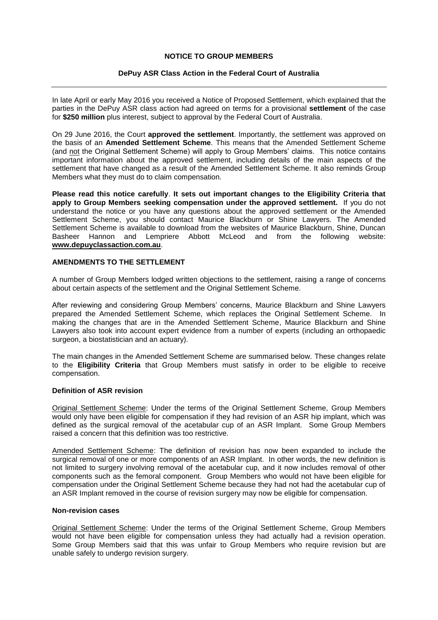## **NOTICE TO GROUP MEMBERS**

## **DePuy ASR Class Action in the Federal Court of Australia**

In late April or early May 2016 you received a Notice of Proposed Settlement, which explained that the parties in the DePuy ASR class action had agreed on terms for a provisional **settlement** of the case for **\$250 million** plus interest, subject to approval by the Federal Court of Australia.

On 29 June 2016, the Court **approved the settlement**. Importantly, the settlement was approved on the basis of an **Amended Settlement Scheme**. This means that the Amended Settlement Scheme (and not the Original Settlement Scheme) will apply to Group Members' claims. This notice contains important information about the approved settlement, including details of the main aspects of the settlement that have changed as a result of the Amended Settlement Scheme. It also reminds Group Members what they must do to claim compensation.

**Please read this notice carefully**. **It sets out important changes to the Eligibility Criteria that apply to Group Members seeking compensation under the approved settlement.** If you do not understand the notice or you have any questions about the approved settlement or the Amended Settlement Scheme, you should contact Maurice Blackburn or Shine Lawyers. The Amended Settlement Scheme is available to download from the websites of Maurice Blackburn, Shine, Duncan Basheer Hannon and Lempriere Abbott McLeod and from the following website: **[www.depuyclassaction.com.au](http://www.depuyclassaction.com.au/)**.

## **AMENDMENTS TO THE SETTLEMENT**

A number of Group Members lodged written objections to the settlement, raising a range of concerns about certain aspects of the settlement and the Original Settlement Scheme.

After reviewing and considering Group Members' concerns, Maurice Blackburn and Shine Lawyers prepared the Amended Settlement Scheme, which replaces the Original Settlement Scheme. In making the changes that are in the Amended Settlement Scheme, Maurice Blackburn and Shine Lawyers also took into account expert evidence from a number of experts (including an orthopaedic surgeon, a biostatistician and an actuary).

The main changes in the Amended Settlement Scheme are summarised below. These changes relate to the **Eligibility Criteria** that Group Members must satisfy in order to be eligible to receive compensation.

#### **Definition of ASR revision**

Original Settlement Scheme: Under the terms of the Original Settlement Scheme, Group Members would only have been eligible for compensation if they had revision of an ASR hip implant, which was defined as the surgical removal of the acetabular cup of an ASR Implant. Some Group Members raised a concern that this definition was too restrictive.

Amended Settlement Scheme: The definition of revision has now been expanded to include the surgical removal of one or more components of an ASR Implant. In other words, the new definition is not limited to surgery involving removal of the acetabular cup, and it now includes removal of other components such as the femoral component. Group Members who would not have been eligible for compensation under the Original Settlement Scheme because they had not had the acetabular cup of an ASR Implant removed in the course of revision surgery may now be eligible for compensation.

#### **Non-revision cases**

Original Settlement Scheme: Under the terms of the Original Settlement Scheme, Group Members would not have been eligible for compensation unless they had actually had a revision operation. Some Group Members said that this was unfair to Group Members who require revision but are unable safely to undergo revision surgery.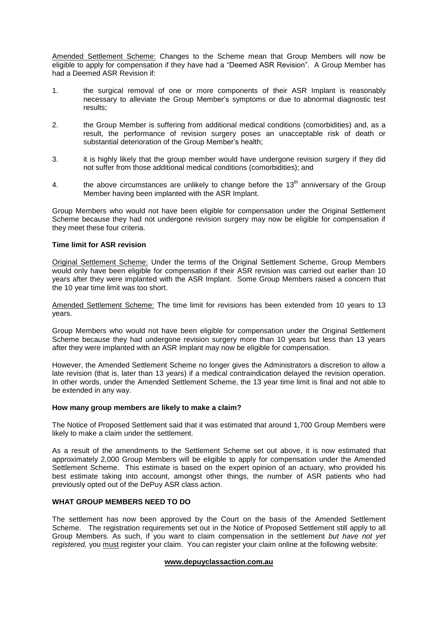Amended Settlement Scheme: Changes to the Scheme mean that Group Members will now be eligible to apply for compensation if they have had a "Deemed ASR Revision". A Group Member has had a Deemed ASR Revision if:

- 1. the surgical removal of one or more components of their ASR Implant is reasonably necessary to alleviate the Group Member's symptoms or due to abnormal diagnostic test results;
- 2. the Group Member is suffering from additional medical conditions (comorbidities) and, as a result, the performance of revision surgery poses an unacceptable risk of death or substantial deterioration of the Group Member's health;
- 3. it is highly likely that the group member would have undergone revision surgery if they did not suffer from those additional medical conditions (comorbidities); and
- 4. the above circumstances are unlikely to change before the  $13<sup>th</sup>$  anniversary of the Group Member having been implanted with the ASR Implant.

Group Members who would not have been eligible for compensation under the Original Settlement Scheme because they had not undergone revision surgery may now be eligible for compensation if they meet these four criteria.

#### **Time limit for ASR revision**

Original Settlement Scheme: Under the terms of the Original Settlement Scheme, Group Members would only have been eligible for compensation if their ASR revision was carried out earlier than 10 years after they were implanted with the ASR Implant. Some Group Members raised a concern that the 10 year time limit was too short.

Amended Settlement Scheme: The time limit for revisions has been extended from 10 years to 13 years.

Group Members who would not have been eligible for compensation under the Original Settlement Scheme because they had undergone revision surgery more than 10 years but less than 13 years after they were implanted with an ASR Implant may now be eligible for compensation.

However, the Amended Settlement Scheme no longer gives the Administrators a discretion to allow a late revision (that is, later than 13 years) if a medical contraindication delayed the revision operation. In other words, under the Amended Settlement Scheme, the 13 year time limit is final and not able to be extended in any way.

## **How many group members are likely to make a claim?**

The Notice of Proposed Settlement said that it was estimated that around 1,700 Group Members were likely to make a claim under the settlement.

As a result of the amendments to the Settlement Scheme set out above, it is now estimated that approximately 2,000 Group Members will be eligible to apply for compensation under the Amended Settlement Scheme. This estimate is based on the expert opinion of an actuary, who provided his best estimate taking into account, amongst other things, the number of ASR patients who had previously opted out of the DePuy ASR class action.

#### **WHAT GROUP MEMBERS NEED TO DO**

The settlement has now been approved by the Court on the basis of the Amended Settlement Scheme. The registration requirements set out in the Notice of Proposed Settlement still apply to all Group Members. As such, if you want to claim compensation in the settlement *but have not yet registered,* you must register your claim. You can register your claim online at the following website:

#### **[www.depuyclassaction.com.au](http://www.depuyclassaction.com.au/)**